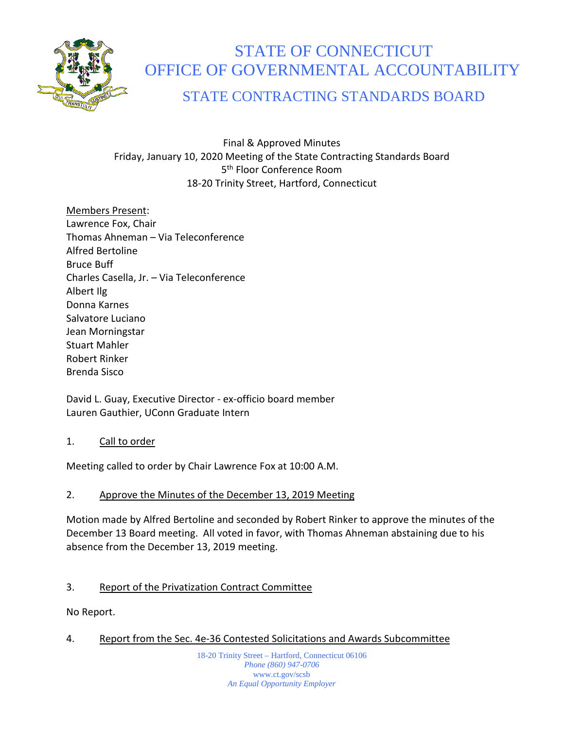

# STATE OF CONNECTICUT OFFICE OF GOVERNMENTAL ACCOUNTABILITY

STATE CONTRACTING STANDARDS BOARD

# Final & Approved Minutes Friday, January 10, 2020 Meeting of the State Contracting Standards Board 5<sup>th</sup> Floor Conference Room 18-20 Trinity Street, Hartford, Connecticut

Members Present: Lawrence Fox, Chair Thomas Ahneman – Via Teleconference Alfred Bertoline Bruce Buff Charles Casella, Jr. – Via Teleconference Albert Ilg Donna Karnes Salvatore Luciano Jean Morningstar Stuart Mahler Robert Rinker Brenda Sisco

David L. Guay, Executive Director - ex-officio board member Lauren Gauthier, UConn Graduate Intern

## 1. Call to order

Meeting called to order by Chair Lawrence Fox at 10:00 A.M.

# 2. Approve the Minutes of the December 13, 2019 Meeting

Motion made by Alfred Bertoline and seconded by Robert Rinker to approve the minutes of the December 13 Board meeting. All voted in favor, with Thomas Ahneman abstaining due to his absence from the December 13, 2019 meeting.

# 3. Report of the Privatization Contract Committee

No Report.

4. Report from the Sec. 4e-36 Contested Solicitations and Awards Subcommittee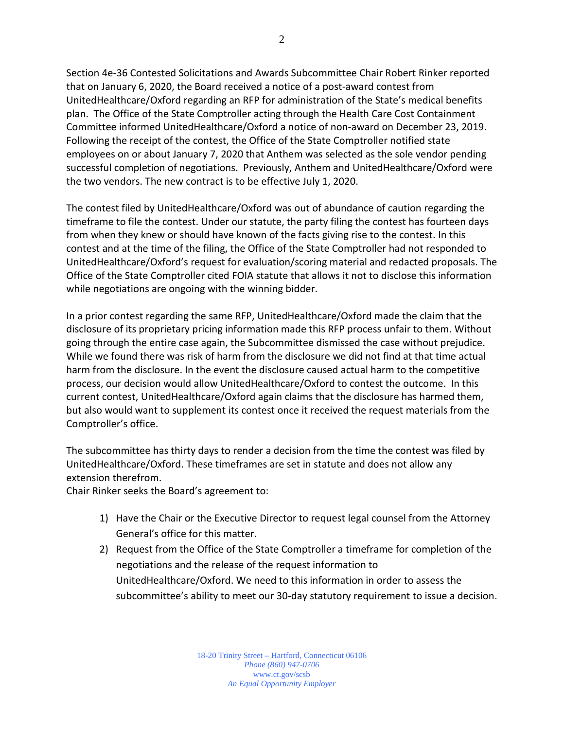Section 4e-36 Contested Solicitations and Awards Subcommittee Chair Robert Rinker reported that on January 6, 2020, the Board received a notice of a post-award contest from UnitedHealthcare/Oxford regarding an RFP for administration of the State's medical benefits plan. The Office of the State Comptroller acting through the Health Care Cost Containment Committee informed UnitedHealthcare/Oxford a notice of non-award on December 23, 2019. Following the receipt of the contest, the Office of the State Comptroller notified state employees on or about January 7, 2020 that Anthem was selected as the sole vendor pending successful completion of negotiations. Previously, Anthem and UnitedHealthcare/Oxford were the two vendors. The new contract is to be effective July 1, 2020.

The contest filed by UnitedHealthcare/Oxford was out of abundance of caution regarding the timeframe to file the contest. Under our statute, the party filing the contest has fourteen days from when they knew or should have known of the facts giving rise to the contest. In this contest and at the time of the filing, the Office of the State Comptroller had not responded to UnitedHealthcare/Oxford's request for evaluation/scoring material and redacted proposals. The Office of the State Comptroller cited FOIA statute that allows it not to disclose this information while negotiations are ongoing with the winning bidder.

In a prior contest regarding the same RFP, UnitedHealthcare/Oxford made the claim that the disclosure of its proprietary pricing information made this RFP process unfair to them. Without going through the entire case again, the Subcommittee dismissed the case without prejudice. While we found there was risk of harm from the disclosure we did not find at that time actual harm from the disclosure. In the event the disclosure caused actual harm to the competitive process, our decision would allow UnitedHealthcare/Oxford to contest the outcome. In this current contest, UnitedHealthcare/Oxford again claims that the disclosure has harmed them, but also would want to supplement its contest once it received the request materials from the Comptroller's office.

The subcommittee has thirty days to render a decision from the time the contest was filed by UnitedHealthcare/Oxford. These timeframes are set in statute and does not allow any extension therefrom.

Chair Rinker seeks the Board's agreement to:

- 1) Have the Chair or the Executive Director to request legal counsel from the Attorney General's office for this matter.
- 2) Request from the Office of the State Comptroller a timeframe for completion of the negotiations and the release of the request information to UnitedHealthcare/Oxford. We need to this information in order to assess the subcommittee's ability to meet our 30-day statutory requirement to issue a decision.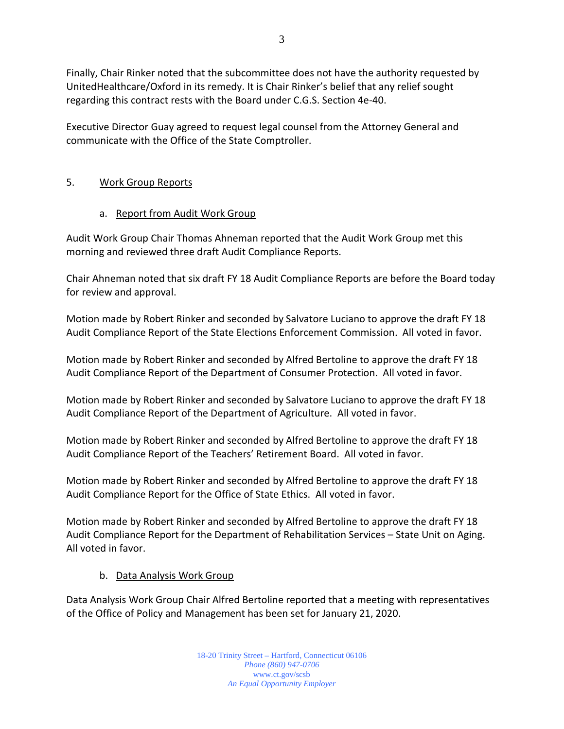Finally, Chair Rinker noted that the subcommittee does not have the authority requested by UnitedHealthcare/Oxford in its remedy. It is Chair Rinker's belief that any relief sought regarding this contract rests with the Board under C.G.S. Section 4e-40.

Executive Director Guay agreed to request legal counsel from the Attorney General and communicate with the Office of the State Comptroller.

# 5. Work Group Reports

# a. Report from Audit Work Group

Audit Work Group Chair Thomas Ahneman reported that the Audit Work Group met this morning and reviewed three draft Audit Compliance Reports.

Chair Ahneman noted that six draft FY 18 Audit Compliance Reports are before the Board today for review and approval.

Motion made by Robert Rinker and seconded by Salvatore Luciano to approve the draft FY 18 Audit Compliance Report of the State Elections Enforcement Commission. All voted in favor.

Motion made by Robert Rinker and seconded by Alfred Bertoline to approve the draft FY 18 Audit Compliance Report of the Department of Consumer Protection. All voted in favor.

Motion made by Robert Rinker and seconded by Salvatore Luciano to approve the draft FY 18 Audit Compliance Report of the Department of Agriculture. All voted in favor.

Motion made by Robert Rinker and seconded by Alfred Bertoline to approve the draft FY 18 Audit Compliance Report of the Teachers' Retirement Board. All voted in favor.

Motion made by Robert Rinker and seconded by Alfred Bertoline to approve the draft FY 18 Audit Compliance Report for the Office of State Ethics. All voted in favor.

Motion made by Robert Rinker and seconded by Alfred Bertoline to approve the draft FY 18 Audit Compliance Report for the Department of Rehabilitation Services – State Unit on Aging. All voted in favor.

# b. Data Analysis Work Group

Data Analysis Work Group Chair Alfred Bertoline reported that a meeting with representatives of the Office of Policy and Management has been set for January 21, 2020.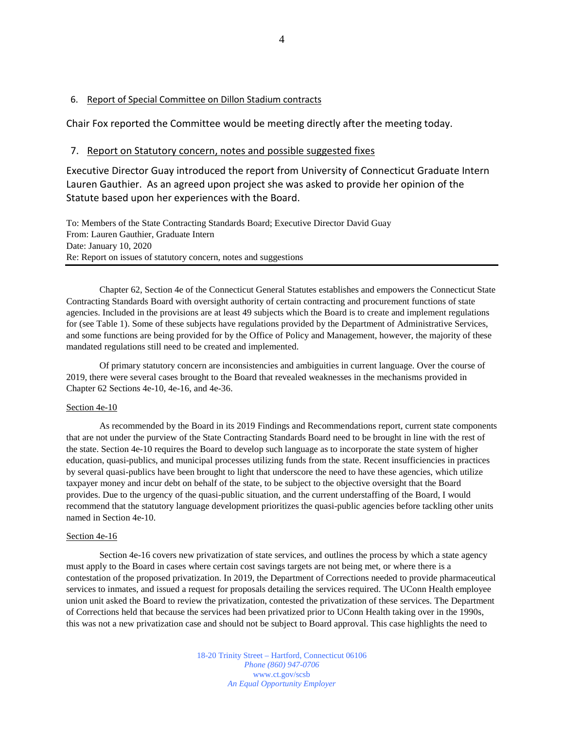## 6. Report of Special Committee on Dillon Stadium contracts

Chair Fox reported the Committee would be meeting directly after the meeting today.

## 7. Report on Statutory concern, notes and possible suggested fixes

Executive Director Guay introduced the report from University of Connecticut Graduate Intern Lauren Gauthier. As an agreed upon project she was asked to provide her opinion of the Statute based upon her experiences with the Board.

To: Members of the State Contracting Standards Board; Executive Director David Guay From: Lauren Gauthier, Graduate Intern Date: January 10, 2020 Re: Report on issues of statutory concern, notes and suggestions

Chapter 62, Section 4e of the Connecticut General Statutes establishes and empowers the Connecticut State Contracting Standards Board with oversight authority of certain contracting and procurement functions of state agencies. Included in the provisions are at least 49 subjects which the Board is to create and implement regulations for (see Table 1). Some of these subjects have regulations provided by the Department of Administrative Services, and some functions are being provided for by the Office of Policy and Management, however, the majority of these mandated regulations still need to be created and implemented.

Of primary statutory concern are inconsistencies and ambiguities in current language. Over the course of 2019, there were several cases brought to the Board that revealed weaknesses in the mechanisms provided in Chapter 62 Sections 4e-10, 4e-16, and 4e-36.

#### Section 4e-10

As recommended by the Board in its 2019 Findings and Recommendations report, current state components that are not under the purview of the State Contracting Standards Board need to be brought in line with the rest of the state. Section 4e-10 requires the Board to develop such language as to incorporate the state system of higher education, quasi-publics, and municipal processes utilizing funds from the state. Recent insufficiencies in practices by several quasi-publics have been brought to light that underscore the need to have these agencies, which utilize taxpayer money and incur debt on behalf of the state, to be subject to the objective oversight that the Board provides. Due to the urgency of the quasi-public situation, and the current understaffing of the Board, I would recommend that the statutory language development prioritizes the quasi-public agencies before tackling other units named in Section 4e-10.

## Section 4e-16

Section 4e-16 covers new privatization of state services, and outlines the process by which a state agency must apply to the Board in cases where certain cost savings targets are not being met, or where there is a contestation of the proposed privatization. In 2019, the Department of Corrections needed to provide pharmaceutical services to inmates, and issued a request for proposals detailing the services required. The UConn Health employee union unit asked the Board to review the privatization, contested the privatization of these services. The Department of Corrections held that because the services had been privatized prior to UConn Health taking over in the 1990s, this was not a new privatization case and should not be subject to Board approval. This case highlights the need to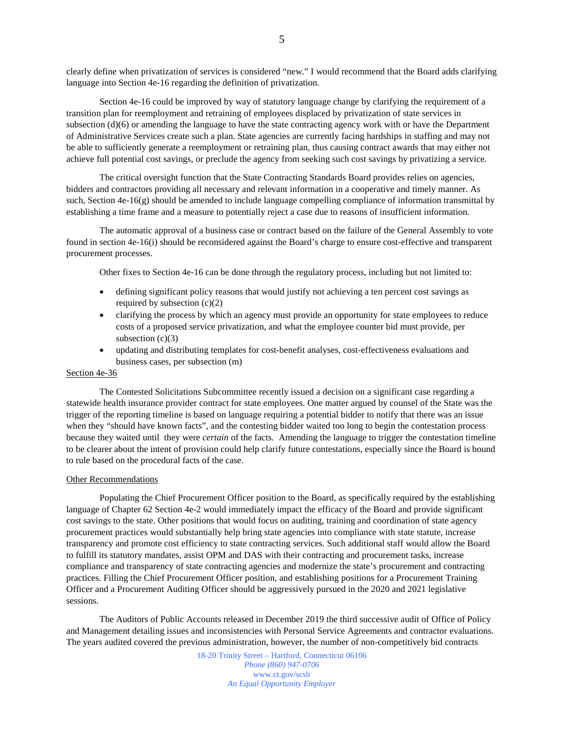clearly define when privatization of services is considered "new." I would recommend that the Board adds clarifying language into Section 4e-16 regarding the definition of privatization.

Section 4e-16 could be improved by way of statutory language change by clarifying the requirement of a transition plan for reemployment and retraining of employees displaced by privatization of state services in subsection  $(d)(6)$  or amending the language to have the state contracting agency work with or have the Department of Administrative Services create such a plan. State agencies are currently facing hardships in staffing and may not be able to sufficiently generate a reemployment or retraining plan, thus causing contract awards that may either not achieve full potential cost savings, or preclude the agency from seeking such cost savings by privatizing a service.

The critical oversight function that the State Contracting Standards Board provides relies on agencies, bidders and contractors providing all necessary and relevant information in a cooperative and timely manner. As such, Section 4e-16(g) should be amended to include language compelling compliance of information transmittal by establishing a time frame and a measure to potentially reject a case due to reasons of insufficient information.

The automatic approval of a business case or contract based on the failure of the General Assembly to vote found in section 4e-16(i) should be reconsidered against the Board's charge to ensure cost-effective and transparent procurement processes.

Other fixes to Section 4e-16 can be done through the regulatory process, including but not limited to:

- defining significant policy reasons that would justify not achieving a ten percent cost savings as required by subsection  $(c)(2)$
- clarifying the process by which an agency must provide an opportunity for state employees to reduce costs of a proposed service privatization, and what the employee counter bid must provide, per subsection  $(c)(3)$
- updating and distributing templates for cost-benefit analyses, cost-effectiveness evaluations and business cases, per subsection (m)

### Section 4e-36

The Contested Solicitations Subcommittee recently issued a decision on a significant case regarding a statewide health insurance provider contract for state employees. One matter argued by counsel of the State was the trigger of the reporting timeline is based on language requiring a potential bidder to notify that there was an issue when they "should have known facts", and the contesting bidder waited too long to begin the contestation process because they waited until they were *certain* of the facts. Amending the language to trigger the contestation timeline to be clearer about the intent of provision could help clarify future contestations, especially since the Board is bound to rule based on the procedural facts of the case.

#### Other Recommendations

Populating the Chief Procurement Officer position to the Board, as specifically required by the establishing language of Chapter 62 Section 4e-2 would immediately impact the efficacy of the Board and provide significant cost savings to the state. Other positions that would focus on auditing, training and coordination of state agency procurement practices would substantially help bring state agencies into compliance with state statute, increase transparency and promote cost efficiency to state contracting services. Such additional staff would allow the Board to fulfill its statutory mandates, assist OPM and DAS with their contracting and procurement tasks, increase compliance and transparency of state contracting agencies and modernize the state's procurement and contracting practices. Filling the Chief Procurement Officer position, and establishing positions for a Procurement Training Officer and a Procurement Auditing Officer should be aggressively pursued in the 2020 and 2021 legislative sessions.

The Auditors of Public Accounts released in December 2019 the third successive audit of Office of Policy and Management detailing issues and inconsistencies with Personal Service Agreements and contractor evaluations. The years audited covered the previous administration, however, the number of non-competitively bid contracts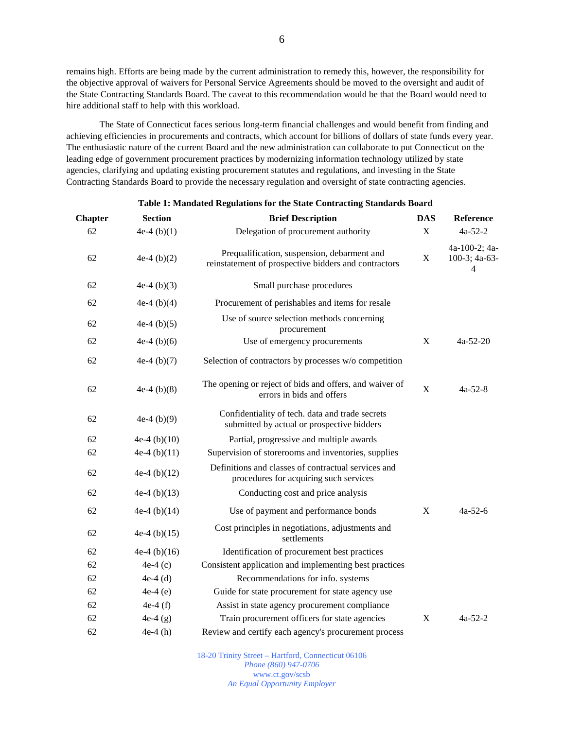remains high. Efforts are being made by the current administration to remedy this, however, the responsibility for the objective approval of waivers for Personal Service Agreements should be moved to the oversight and audit of the State Contracting Standards Board. The caveat to this recommendation would be that the Board would need to hire additional staff to help with this workload.

The State of Connecticut faces serious long-term financial challenges and would benefit from finding and achieving efficiencies in procurements and contracts, which account for billions of dollars of state funds every year. The enthusiastic nature of the current Board and the new administration can collaborate to put Connecticut on the leading edge of government procurement practices by modernizing information technology utilized by state agencies, clarifying and updating existing procurement statutes and regulations, and investing in the State Contracting Standards Board to provide the necessary regulation and oversight of state contracting agencies.

| <b>Chapter</b> | <b>Section</b> | <b>Brief Description</b>                                                                            | <b>DAS</b>  | Reference                                           |
|----------------|----------------|-----------------------------------------------------------------------------------------------------|-------------|-----------------------------------------------------|
| 62             | $4e-4(b)(1)$   | Delegation of procurement authority                                                                 | $\mathbf X$ | $4a-52-2$                                           |
| 62             | $4e-4(b)(2)$   | Prequalification, suspension, debarment and<br>reinstatement of prospective bidders and contractors | X           | 4a-100-2; 4a-<br>$100-3$ ; 4a-63-<br>$\overline{4}$ |
| 62             | $4e-4(b)(3)$   | Small purchase procedures                                                                           |             |                                                     |
| 62             | 4e-4 $(b)(4)$  | Procurement of perishables and items for resale                                                     |             |                                                     |
| 62             | 4e-4 $(b)(5)$  | Use of source selection methods concerning<br>procurement                                           |             |                                                     |
| 62             | $4e-4(b)(6)$   | Use of emergency procurements                                                                       | X           | $4a-52-20$                                          |
| 62             | 4e-4 $(b)(7)$  | Selection of contractors by processes w/o competition                                               |             |                                                     |
| 62             | 4e-4 $(b)(8)$  | The opening or reject of bids and offers, and waiver of<br>errors in bids and offers                | X           | $4a-52-8$                                           |
| 62             | 4e-4 $(b)(9)$  | Confidentiality of tech. data and trade secrets<br>submitted by actual or prospective bidders       |             |                                                     |
| 62             | 4e-4 $(b)(10)$ | Partial, progressive and multiple awards                                                            |             |                                                     |
| 62             | $4e-4(b)(11)$  | Supervision of storerooms and inventories, supplies                                                 |             |                                                     |
| 62             | 4e-4 $(b)(12)$ | Definitions and classes of contractual services and<br>procedures for acquiring such services       |             |                                                     |
| 62             | 4e-4 $(b)(13)$ | Conducting cost and price analysis                                                                  |             |                                                     |
| 62             | 4e-4 $(b)(14)$ | Use of payment and performance bonds                                                                | X           | $4a-52-6$                                           |
| 62             | 4e-4 $(b)(15)$ | Cost principles in negotiations, adjustments and<br>settlements                                     |             |                                                     |
| 62             | 4e-4 $(b)(16)$ | Identification of procurement best practices                                                        |             |                                                     |
| 62             | $4e-4(c)$      | Consistent application and implementing best practices                                              |             |                                                     |
| 62             | $4e-4$ (d)     | Recommendations for info. systems                                                                   |             |                                                     |
| 62             | $4e-4(e)$      | Guide for state procurement for state agency use                                                    |             |                                                     |
| 62             | 4e-4 $(f)$     | Assist in state agency procurement compliance                                                       |             |                                                     |
| 62             | $4e-4(g)$      | Train procurement officers for state agencies                                                       | $\mathbf X$ | $4a-52-2$                                           |
| 62             | $4e-4(h)$      | Review and certify each agency's procurement process                                                |             |                                                     |

### **Table 1: Mandated Regulations for the State Contracting Standards Board**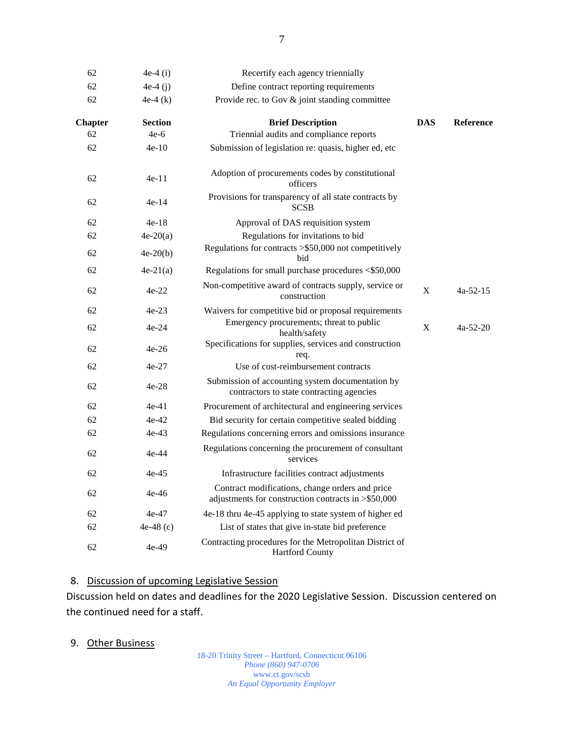| 62             | 4e-4 $(i)$     | Recertify each agency triennially                                                                      |            |                  |
|----------------|----------------|--------------------------------------------------------------------------------------------------------|------------|------------------|
| 62             | 4e-4 $(i)$     | Define contract reporting requirements                                                                 |            |                  |
| 62             | $4e-4(k)$      | Provide rec. to Gov & joint standing committee                                                         |            |                  |
| <b>Chapter</b> | <b>Section</b> | <b>Brief Description</b>                                                                               | <b>DAS</b> | <b>Reference</b> |
| 62             | $4e-6$         | Triennial audits and compliance reports                                                                |            |                  |
| 62             | $4e-10$        | Submission of legislation re: quasis, higher ed, etc                                                   |            |                  |
| 62             | 4e-11          | Adoption of procurements codes by constitutional<br>officers                                           |            |                  |
| 62             | $4e-14$        | Provisions for transparency of all state contracts by<br><b>SCSB</b>                                   |            |                  |
| 62             | $4e-18$        | Approval of DAS requisition system                                                                     |            |                  |
| 62             | $4e-20(a)$     | Regulations for invitations to bid                                                                     |            |                  |
| 62             | $4e-20(b)$     | Regulations for contracts > \$50,000 not competitively<br>bid                                          |            |                  |
| 62             | $4e-21(a)$     | Regulations for small purchase procedures <\$50,000                                                    |            |                  |
| 62             | $4e-22$        | Non-competitive award of contracts supply, service or<br>construction                                  | X          | $4a-52-15$       |
| 62             | $4e-23$        | Waivers for competitive bid or proposal requirements                                                   |            |                  |
| 62             | 4e-24          | Emergency procurements; threat to public<br>health/safety                                              | X          | $4a-52-20$       |
| 62             | $4e-26$        | Specifications for supplies, services and construction<br>req.                                         |            |                  |
| 62             | $4e-27$        | Use of cost-reimbursement contracts                                                                    |            |                  |
| 62             | 4e-28          | Submission of accounting system documentation by<br>contractors to state contracting agencies          |            |                  |
| 62             | $4e-41$        | Procurement of architectural and engineering services                                                  |            |                  |
| 62             | $4e-42$        | Bid security for certain competitive sealed bidding                                                    |            |                  |
| 62             | $4e-43$        | Regulations concerning errors and omissions insurance                                                  |            |                  |
| 62             | 4e-44          | Regulations concerning the procurement of consultant<br>services                                       |            |                  |
| 62             | $4e-45$        | Infrastructure facilities contract adjustments                                                         |            |                  |
| 62             | 4e-46          | Contract modifications, change orders and price<br>adjustments for construction contracts in >\$50,000 |            |                  |
| 62             | 4e-47          | 4e-18 thru 4e-45 applying to state system of higher ed                                                 |            |                  |
| 62             | 4e-48 $(c)$    | List of states that give in-state bid preference                                                       |            |                  |
| 62             | 4e-49          | Contracting procedures for the Metropolitan District of<br><b>Hartford County</b>                      |            |                  |

## 8. Discussion of upcoming Legislative Session

Discussion held on dates and deadlines for the 2020 Legislative Session. Discussion centered on the continued need for a staff.

9. Other Business